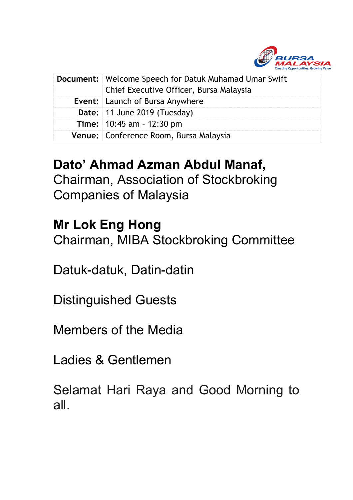

| <b>Document:</b> Welcome Speech for Datuk Muhamad Umar Swift<br>Chief Executive Officer, Bursa Malaysia |
|---------------------------------------------------------------------------------------------------------|
| <b>Event:</b> Launch of Bursa Anywhere                                                                  |
| Date: 11 June 2019 (Tuesday)                                                                            |
| <b>Time:</b> $10:45$ am $-12:30$ pm                                                                     |
| Venue: Conference Room, Bursa Malaysia                                                                  |

## **Dato' Ahmad Azman Abdul Manaf,**

Chairman, Association of Stockbroking Companies of Malaysia

## **Mr Lok Eng Hong**

Chairman, MIBA Stockbroking Committee

Datuk-datuk, Datin-datin

Distinguished Guests

Members of the Media

Ladies & Gentlemen

Selamat Hari Raya and Good Morning to all.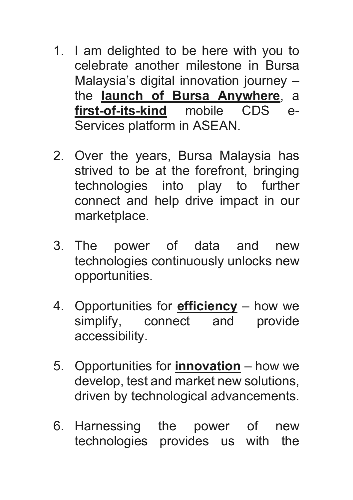- 1. I am delighted to be here with you to celebrate another milestone in Bursa Malaysia's digital innovation journey – the **launch of Bursa Anywhere**, a **first-of-its-kind** mobile CDS e-Services platform in ASEAN.
- 2. Over the years, Bursa Malaysia has strived to be at the forefront, bringing technologies into play to further connect and help drive impact in our marketplace.
- 3. The power of data and new technologies continuously unlocks new opportunities.
- 4. Opportunities for **efficiency** how we simplify, connect and provide accessibility.
- 5. Opportunities for **innovation** how we develop, test and market new solutions, driven by technological advancements.
- 6. Harnessing the power of new technologies provides us with the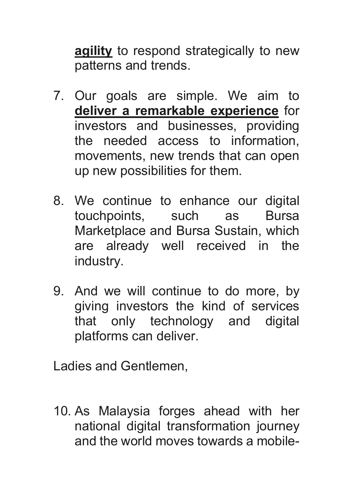**agility** to respond strategically to new patterns and trends.

- 7. Our goals are simple. We aim to **deliver a remarkable experience** for investors and businesses, providing the needed access to information, movements, new trends that can open up new possibilities for them.
- 8. We continue to enhance our digital touchpoints, such as Bursa Marketplace and Bursa Sustain, which are already well received in the industry.
- 9. And we will continue to do more, by giving investors the kind of services that only technology and digital platforms can deliver.

Ladies and Gentlemen,

10. As Malaysia forges ahead with her national digital transformation journey and the world moves towards a mobile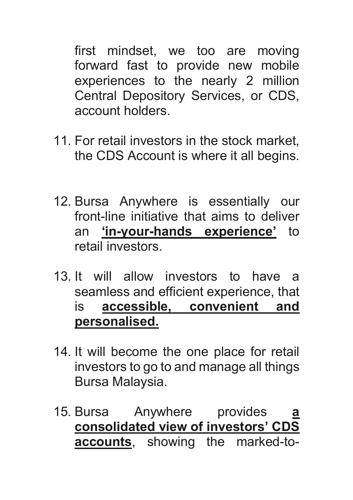first mindset, we too are moving forward fast to provide new mobile experiences to the nearly 2 million Central Depository Services, or CDS, account holders.

- 11. For retail investors in the stock market, the CDS Account is where it all begins.
- 12. Bursa Anywhere is essentially our front-line initiative that aims to deliver an **'in-your-hands experience'** to retail investors.
- 13. It will allow investors to have a seamless and efficient experience, that is **accessible, convenient and personalised.**
- 14. It will become the one place for retail investors to go to and manage all things Bursa Malaysia.
- 15. Bursa Anywhere provides **a consolidated view of investors' CDS accounts**, showing the marked-to-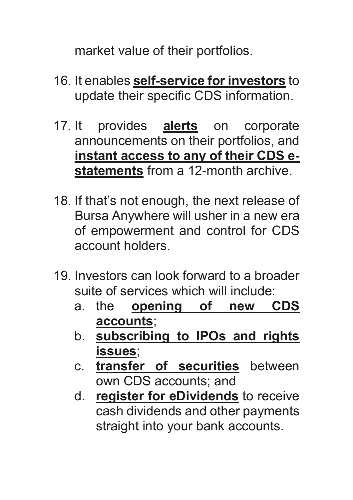market value of their portfolios.

- 16. It enables **self-service for investors** to update their specific CDS information.
- 17. It provides **alerts** on corporate announcements on their portfolios, and **instant access to any of their CDS estatements** from a 12-month archive.
- 18. If that's not enough, the next release of Bursa Anywhere will usher in a new era of empowerment and control for CDS account holders.
- 19. Investors can look forward to a broader suite of services which will include:
	- a. the **opening of new CDS accounts**;
	- b. **subscribing to IPOs and rights issues**;
	- c. **transfer of securities** between own CDS accounts; and
	- d. **register for eDividends** to receive cash dividends and other payments straight into your bank accounts.